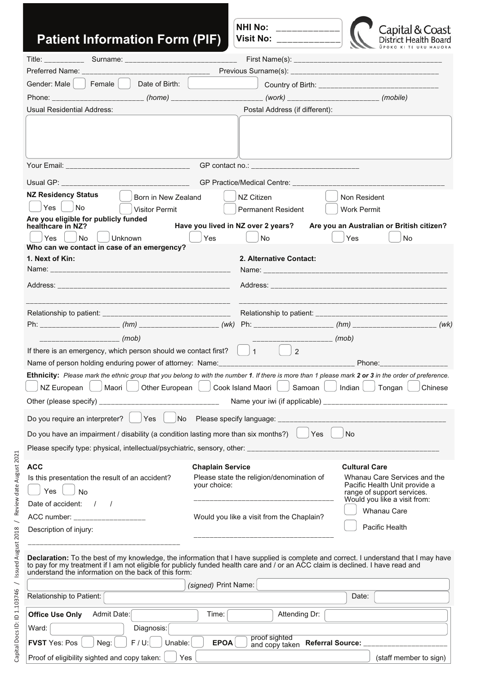| <b>Patient Information Form (PIF)</b>                                                                                                                                                                                                                                                                                                                                                                                                                      |                                         | <b>NHI No:</b><br>_____________<br><b>Visit No:</b><br><u> 1919 - John Holl, Amerikan b</u>                        | Capital & Coast<br>District Health                                                                                                                                                   |
|------------------------------------------------------------------------------------------------------------------------------------------------------------------------------------------------------------------------------------------------------------------------------------------------------------------------------------------------------------------------------------------------------------------------------------------------------------|-----------------------------------------|--------------------------------------------------------------------------------------------------------------------|--------------------------------------------------------------------------------------------------------------------------------------------------------------------------------------|
|                                                                                                                                                                                                                                                                                                                                                                                                                                                            |                                         |                                                                                                                    |                                                                                                                                                                                      |
|                                                                                                                                                                                                                                                                                                                                                                                                                                                            |                                         |                                                                                                                    |                                                                                                                                                                                      |
| Date of Birth:<br>Gender: Male   Female                                                                                                                                                                                                                                                                                                                                                                                                                    |                                         |                                                                                                                    |                                                                                                                                                                                      |
|                                                                                                                                                                                                                                                                                                                                                                                                                                                            |                                         |                                                                                                                    | Country of Birth: ___________________________________                                                                                                                                |
| <b>Usual Residential Address:</b>                                                                                                                                                                                                                                                                                                                                                                                                                          |                                         | Postal Address (if different):                                                                                     |                                                                                                                                                                                      |
|                                                                                                                                                                                                                                                                                                                                                                                                                                                            |                                         | GP contact no.: _______________________________                                                                    |                                                                                                                                                                                      |
|                                                                                                                                                                                                                                                                                                                                                                                                                                                            |                                         |                                                                                                                    |                                                                                                                                                                                      |
| <b>NZ Residency Status</b><br>Born in New Zealand<br>Yes<br><b>No</b><br><b>Visitor Permit</b><br>Are you eligible for publicly funded<br>healthcare in NZ?<br>No<br>Unknown<br>Yes<br>Who can we contact in case of an emergency?                                                                                                                                                                                                                         | Yes                                     | NZ Citizen<br><b>Permanent Resident</b><br>Have you lived in NZ over 2 years?<br><b>No</b>                         | Non Resident<br><b>Work Permit</b><br>Are you an Australian or British citizen?<br>Yes<br><b>No</b>                                                                                  |
| 1. Next of Kin:                                                                                                                                                                                                                                                                                                                                                                                                                                            |                                         | 2. Alternative Contact:                                                                                            |                                                                                                                                                                                      |
|                                                                                                                                                                                                                                                                                                                                                                                                                                                            |                                         |                                                                                                                    |                                                                                                                                                                                      |
|                                                                                                                                                                                                                                                                                                                                                                                                                                                            |                                         |                                                                                                                    |                                                                                                                                                                                      |
|                                                                                                                                                                                                                                                                                                                                                                                                                                                            |                                         |                                                                                                                    |                                                                                                                                                                                      |
|                                                                                                                                                                                                                                                                                                                                                                                                                                                            |                                         |                                                                                                                    |                                                                                                                                                                                      |
|                                                                                                                                                                                                                                                                                                                                                                                                                                                            |                                         | _____________________ (mob)                                                                                        |                                                                                                                                                                                      |
| If there is an emergency, which person should we contact first? $\ \cdot\ _1$                                                                                                                                                                                                                                                                                                                                                                              |                                         | 2                                                                                                                  |                                                                                                                                                                                      |
| Ethnicity: Please mark the ethnic group that you belong to with the number 1. If there is more than 1 please mark 2 or 3 in the order of preference.<br>$\Box$ $\Box$ $\Box$ $\Box$ $\Box$ $\Box$ $\Box$<br>NZ European<br>Maori I<br>Other European  <br>Other (please specify) _<br><u> 1989 - Johann John Harry John Harry John Harry John Harry John Harry John Harry John Harry John Harry John Ha</u><br>Do you require an interpreter?<br>Yes<br>No |                                         | Cook Island Maori  <br>Samoan                                                                                      | Indian<br>Tongan<br>Chinese                                                                                                                                                          |
| Do you have an impairment / disability (a condition lasting more than six months?)                                                                                                                                                                                                                                                                                                                                                                         |                                         | Yes                                                                                                                | <b>No</b>                                                                                                                                                                            |
|                                                                                                                                                                                                                                                                                                                                                                                                                                                            |                                         |                                                                                                                    |                                                                                                                                                                                      |
| <b>ACC</b><br>Is this presentation the result of an accident?<br>Yes<br>No<br>Date of accident: / /<br>ACC number: ____________________<br>Description of injury:                                                                                                                                                                                                                                                                                          | <b>Chaplain Service</b><br>your choice: | Please state the religion/denomination of<br>________________________<br>Would you like a visit from the Chaplain? | <b>Cultural Care</b><br>Whanau Care Services and the<br>Pacific Health Unit provide a<br>range of support services.<br>Would you like a visit from:<br>Whanau Care<br>Pacific Health |
| Declaration: To the best of my knowledge, the information that I have supplied is complete and correct. I understand that I may have<br>to pay for my treatment if I am not eligible for publicly funded health care and / or an ACC claim is declined. I have read and<br>understand the information on the back of this form:                                                                                                                            | (signed) Print Name:                    |                                                                                                                    |                                                                                                                                                                                      |
| Relationship to Patient:                                                                                                                                                                                                                                                                                                                                                                                                                                   |                                         |                                                                                                                    | Date:                                                                                                                                                                                |
| <b>Office Use Only</b><br>Admit Date:                                                                                                                                                                                                                                                                                                                                                                                                                      | Time:                                   | Attending Dr:                                                                                                      |                                                                                                                                                                                      |
| Ward:<br>Diagnosis:                                                                                                                                                                                                                                                                                                                                                                                                                                        |                                         |                                                                                                                    |                                                                                                                                                                                      |
| $F/U$ :<br><b>FVST</b> Yes: Pos<br>Unable:<br>Neg:                                                                                                                                                                                                                                                                                                                                                                                                         | <b>EPOA</b>                             | proof sighted<br>and copy taken                                                                                    | Referral Source: ________________                                                                                                                                                    |
| Proof of eligibility sighted and copy taken:<br>Yes                                                                                                                                                                                                                                                                                                                                                                                                        |                                         |                                                                                                                    | (staff member to sign)                                                                                                                                                               |